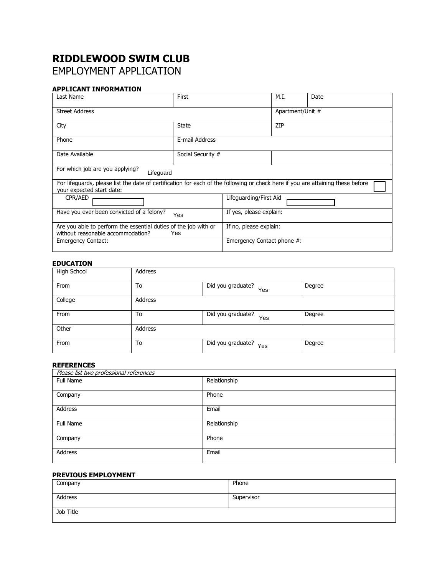# **RIDDLEWOOD SWIM CLUB** EMPLOYMENT APPLICATION

# **APPLICANT INFORMATION**

| Last Name                                                                                                                                                    | First             |                            | M.I.             | Date |
|--------------------------------------------------------------------------------------------------------------------------------------------------------------|-------------------|----------------------------|------------------|------|
| <b>Street Address</b>                                                                                                                                        |                   |                            | Apartment/Unit # |      |
| City                                                                                                                                                         | <b>State</b>      |                            | ZIP              |      |
| Phone                                                                                                                                                        | E-mail Address    |                            |                  |      |
| Date Available                                                                                                                                               | Social Security # |                            |                  |      |
| For which job are you applying?<br>Lifeguard                                                                                                                 |                   |                            |                  |      |
| For lifeguards, please list the date of certification for each of the following or check here if you are attaining these before<br>your expected start date: |                   |                            |                  |      |
| CPR/AED                                                                                                                                                      |                   | Lifeguarding/First Aid     |                  |      |
| Have you ever been convicted of a felony?<br>Yes                                                                                                             |                   | If yes, please explain:    |                  |      |
| Are you able to perform the essential duties of the job with or<br>without reasonable accommodation?<br>Yes                                                  |                   | If no, please explain:     |                  |      |
| <b>Emergency Contact:</b>                                                                                                                                    |                   | Emergency Contact phone #: |                  |      |

## **EDUCATION**

| High School | Address |                          |        |
|-------------|---------|--------------------------|--------|
| From        | To      | Did you graduate?<br>Yes | Degree |
| College     | Address |                          |        |
| From        | To      | Did you graduate?<br>Yes | Degree |
| Other       | Address |                          |        |
| From        | To      | Did you graduate?<br>Yes | Degree |

## **REFERENCES**

| Please list two professional references |              |
|-----------------------------------------|--------------|
| Full Name                               | Relationship |
| Company                                 | Phone        |
| Address                                 | Email        |
| Full Name                               | Relationship |
| Company                                 | Phone        |
| Address                                 | Email        |

## **PREVIOUS EMPLOYMENT**

| Company        | Phone      |
|----------------|------------|
| <b>Address</b> | Supervisor |
| Job Title      |            |